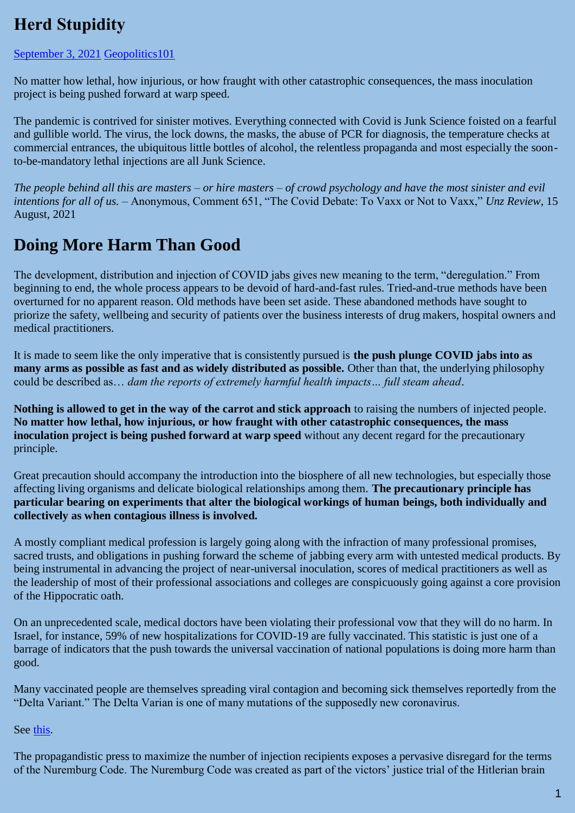# **Herd Stupidity**

#### [September 3, 2021](https://geopolitics.co/2021/09/03/herd-stupidity/) [Geopolitics101](https://geopolitics.co/author/eclinik/)

No matter how lethal, how injurious, or how fraught with other catastrophic consequences, the mass inoculation project is being pushed forward at warp speed.

The pandemic is contrived for sinister motives. Everything connected with Covid is Junk Science foisted on a fearful and gullible world. The virus, the lock downs, the masks, the abuse of PCR for diagnosis, the temperature checks at commercial entrances, the ubiquitous little bottles of alcohol, the relentless propaganda and most especially the soonto-be-mandatory lethal injections are all Junk Science.

*The people behind all this are masters – or hire masters – of crowd psychology and have the most sinister and evil intentions for all of us. –* Anonymous, Comment 651, "The Covid Debate: To Vaxx or Not to Vaxx," *Unz Review*, 15 August, 2021

### **Doing More Harm Than Good**

The development, distribution and injection of COVID jabs gives new meaning to the term, "deregulation." From beginning to end, the whole process appears to be devoid of hard-and-fast rules. Tried-and-true methods have been overturned for no apparent reason. Old methods have been set aside. These abandoned methods have sought to priorize the safety, wellbeing and security of patients over the business interests of drug makers, hospital owners and medical practitioners.

It is made to seem like the only imperative that is consistently pursued is **the push plunge COVID jabs into as many arms as possible as fast and as widely distributed as possible.** Other than that, the underlying philosophy could be described as… *dam the reports of extremely harmful health impacts… full steam ahead*.

**Nothing is allowed to get in the way of the carrot and stick approach** to raising the numbers of injected people. **No matter how lethal, how injurious, or how fraught with other catastrophic consequences, the mass inoculation project is being pushed forward at warp speed** without any decent regard for the precautionary principle.

Great precaution should accompany the introduction into the biosphere of all new technologies, but especially those affecting living organisms and delicate biological relationships among them. **The precautionary principle has particular bearing on experiments that alter the biological workings of human beings, both individually and collectively as when contagious illness is involved.**

A mostly compliant medical profession is largely going along with the infraction of many professional promises, sacred trusts, and obligations in pushing forward the scheme of jabbing every arm with untested medical products. By being instrumental in advancing the project of near-universal inoculation, scores of medical practitioners as well as the leadership of most of their professional associations and colleges are conspicuously going against a core provision of the Hippocratic oath.

On an unprecedented scale, medical doctors have been violating their professional vow that they will do no harm. In Israel, for instance, 59% of new hospitalizations for COVID-19 are fully vaccinated. This statistic is just one of a barrage of indicators that the push towards the universal vaccination of national populations is doing more harm than good.

Many vaccinated people are themselves spreading viral contagion and becoming sick themselves reportedly from the "Delta Variant." The Delta Varian is one of many mutations of the supposedly new coronavirus.

See [this.](https://www.science.org/news/2021/08/grim-warning-israel-vaccination-blunts-does-not-defeat-delta)

The propagandistic press to maximize the number of injection recipients exposes a pervasive disregard for the terms of the Nuremburg Code. The Nuremburg Code was created as part of the victors' justice trial of the Hitlerian brain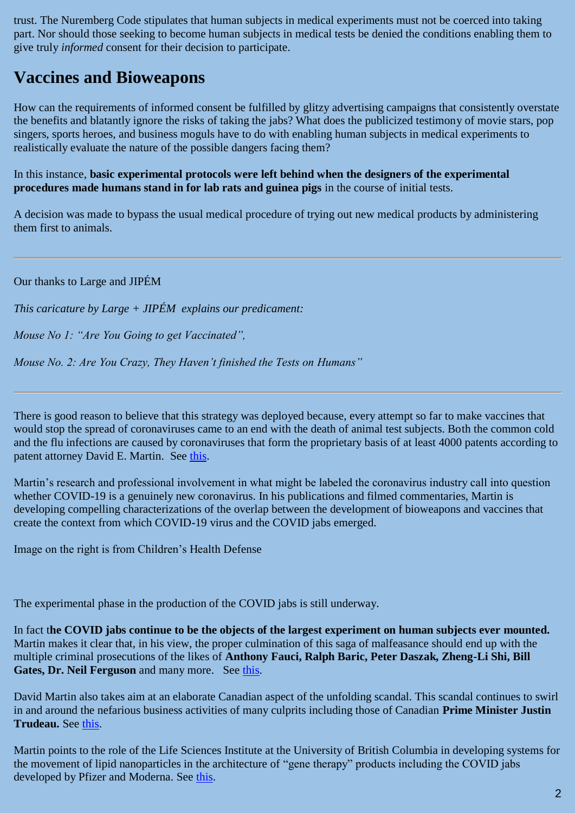trust. The Nuremberg Code stipulates that human subjects in medical experiments must not be coerced into taking part. Nor should those seeking to become human subjects in medical tests be denied the conditions enabling them to give truly *informed* consent for their decision to participate.

### **Vaccines and Bioweapons**

How can the requirements of informed consent be fulfilled by glitzy advertising campaigns that consistently overstate the benefits and blatantly ignore the risks of taking the jabs? What does the publicized testimony of movie stars, pop singers, sports heroes, and business moguls have to do with enabling human subjects in medical experiments to realistically evaluate the nature of the possible dangers facing them?

In this instance, **basic experimental protocols were left behind when the designers of the experimental procedures made humans stand in for lab rats and guinea pigs** in the course of initial tests.

A decision was made to bypass the usual medical procedure of trying out new medical products by administering them first to animals.

Our thanks to Large and JIPÉM

*This caricature by Large + JIPÉM explains our predicament:*

*Mouse No 1: "Are You Going to get Vaccinated",*

*Mouse No. 2: Are You Crazy, They Haven't finished the Tests on Humans"*

There is good reason to believe that this strategy was deployed because, every attempt so far to make vaccines that would stop the spread of coronaviruses came to an end with the death of animal test subjects. Both the common cold and the flu infections are caused by coronaviruses that form the proprietary basis of at least 4000 patents according to patent attorney David E. Martin. See [this.](https://forbiddenknowledgetv.net/there-is-no-variant-not-novel-no-pandemic-dr-david-martin-with-reiner-fuellmich/)

Martin's research and professional involvement in what might be labeled the coronavirus industry call into question whether COVID-19 is a genuinely new coronavirus. In his publications and filmed commentaries, Martin is developing compelling characterizations of the overlap between the development of bioweapons and vaccines that create the context from which COVID-19 virus and the COVID jabs emerged.

Image on the right is from Children's Health Defense

The experimental phase in the production of the COVID jabs is still underway.

In fact t**he COVID jabs continue to be the objects of the largest experiment on human subjects ever mounted.** Martin makes it clear that, in his view, the proper culmination of this saga of malfeasance should end up with the multiple criminal prosecutions of the likes of **Anthony Fauci, Ralph Baric, Peter Daszak, Zheng-Li Shi, Bill**  Gates, Dr. Neil Ferguson and many more. See [this.](https://www.davidmartin.world/wp-content/uploads/2021/01/The_Fauci_COVID-19_Dossier.pdf)

David Martin also takes aim at an elaborate Canadian aspect of the unfolding scandal. This scandal continues to swirl in and around the nefarious business activities of many culprits including those of Canadian **Prime Minister Justin Trudeau.** See [this.](https://odysee.com/@Truth_Comes_to_Light:6/Dr.-David-E.-Martin-drops-Shocking-Covid-Info-on-Canadians:a)

Martin points to the role of the Life Sciences Institute at the University of British Columbia in developing systems for the movement of lipid nanoparticles in the architecture of "gene therapy" products including the COVID jabs developed by Pfizer and Moderna. See [this.](https://lsi.ubc.ca/2017/09/27/enabling-gene-therapy-ubc-research-leads-to-first-successful-phase-3-trial-for-an-rnai-gene-therapy-drug/)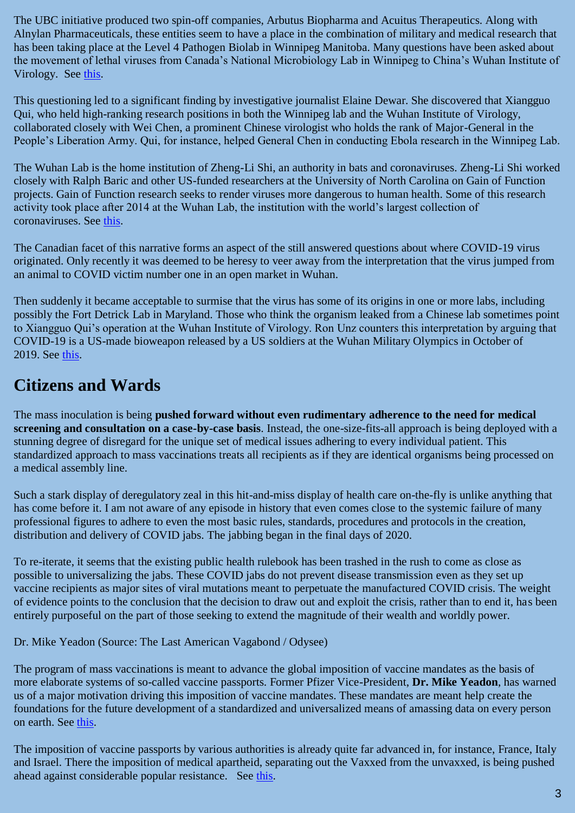The UBC initiative produced two spin-off companies, Arbutus Biopharma and Acuitus Therapeutics. Along with Alnylan Pharmaceuticals, these entities seem to have a place in the combination of military and medical research that has been taking place at the Level 4 Pathogen Biolab in Winnipeg Manitoba. Many questions have been asked about the movement of lethal viruses from Canada's National Microbiology Lab in Winnipeg to China's Wuhan Institute of Virology. See [this.](https://www.unz.com/article/who-or-what-started-the-wuhan-coronavirus-epidemic/)

This questioning led to a significant finding by investigative journalist Elaine Dewar. She discovered that Xiangguo Qui, who held high-ranking research positions in both the Winnipeg lab and the Wuhan Institute of Virology, collaborated closely with Wei Chen, a prominent Chinese virologist who holds the rank of Major-General in the People's Liberation Army. Qui, for instance, helped General Chen in conducting Ebola research in the Winnipeg Lab.

The Wuhan Lab is the home institution of Zheng-Li Shi, an authority in bats and coronaviruses. Zheng-Li Shi worked closely with Ralph Baric and other US-funded researchers at the University of North Carolina on Gain of Function projects. Gain of Function research seeks to render viruses more dangerous to human health. Some of this research activity took place after 2014 at the Wuhan Lab, the institution with the world's largest collection of coronaviruses. See [this.](https://www.cbc.ca/news/canada/manitoba/winnipeg-lab-book-dewar-1.6154226)

The Canadian facet of this narrative forms an aspect of the still answered questions about where COVID-19 virus originated. Only recently it was deemed to be heresy to veer away from the interpretation that the virus jumped from an animal to COVID victim number one in an open market in Wuhan.

Then suddenly it became acceptable to surmise that the virus has some of its origins in one or more labs, including possibly the Fort Detrick Lab in Maryland. Those who think the organism leaked from a Chinese lab sometimes point to Xiangguo Qui's operation at the Wuhan Institute of Virology. Ron Unz counters this interpretation by arguing that COVID-19 is a US-made bioweapon released by a US soldiers at the Wuhan Military Olympics in October of 2019. See [this.](https://www.unz.com/runz/american-pravda-waging-biological-warfare/)

### **Citizens and Wards**

The mass inoculation is being **pushed forward without even rudimentary adherence to the need for medical screening and consultation on a case-by-case basis**. Instead, the one-size-fits-all approach is being deployed with a stunning degree of disregard for the unique set of medical issues adhering to every individual patient. This standardized approach to mass vaccinations treats all recipients as if they are identical organisms being processed on a medical assembly line.

Such a stark display of deregulatory zeal in this hit-and-miss display of health care on-the-fly is unlike anything that has come before it. I am not aware of any episode in history that even comes close to the systemic failure of many professional figures to adhere to even the most basic rules, standards, procedures and protocols in the creation, distribution and delivery of COVID jabs. The jabbing began in the final days of 2020.

To re-iterate, it seems that the existing public health rulebook has been trashed in the rush to come as close as possible to universalizing the jabs. These COVID jabs do not prevent disease transmission even as they set up vaccine recipients as major sites of viral mutations meant to perpetuate the manufactured COVID crisis. The weight of evidence points to the conclusion that the decision to draw out and exploit the crisis, rather than to end it, has been entirely purposeful on the part of those seeking to extend the magnitude of their wealth and worldly power.

Dr. Mike Yeadon (Source: The Last American Vagabond / Odysee)

The program of mass vaccinations is meant to advance the global imposition of vaccine mandates as the basis of more elaborate systems of so-called vaccine passports. Former Pfizer Vice-President, **Dr. Mike Yeadon**, has warned us of a major motivation driving this imposition of vaccine mandates. These mandates are meant help create the foundations for the future development of a standardized and universalized means of amassing data on every person on earth. See [this.](https://dailyexpose.co.uk/2021/05/01/an-interview-with-dr-mike-yeadon-vaccine-passports-are-a-gateway-to-mass-killing-in-the-billions/)

The imposition of vaccine passports by various authorities is already quite far advanced in, for instance, France, Italy and Israel. There the imposition of medical apartheid, separating out the Vaxxed from the unvaxxed, is being pushed ahead against considerable popular resistance. See [this.](https://www.diplomaticourier.com/posts/in-france-and-italy-governments-grapple-with-vaccine-passports)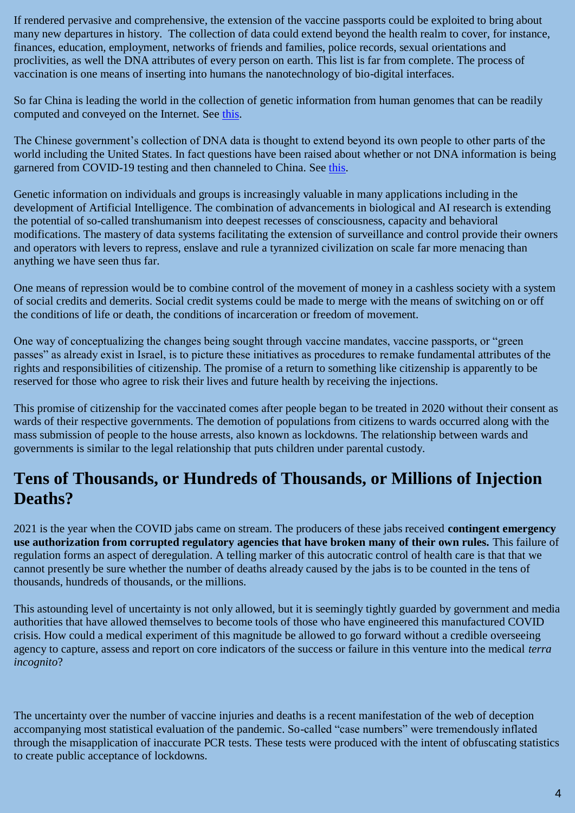If rendered pervasive and comprehensive, the extension of the vaccine passports could be exploited to bring about many new departures in history. The collection of data could extend beyond the health realm to cover, for instance, finances, education, employment, networks of friends and families, police records, sexual orientations and proclivities, as well the DNA attributes of every person on earth. This list is far from complete. The process of vaccination is one means of inserting into humans the nanotechnology of bio-digital interfaces.

So far China is leading the world in the collection of genetic information from human genomes that can be readily computed and conveyed on the Internet. See [this.](https://www.nature.com/articles/d41586-020-01984-4)

The Chinese government's collection of DNA data is thought to extend beyond its own people to other parts of the world including the United States. In fact questions have been raised about whether or not DNA information is being garnered from COVID-19 testing and then channeled to China. See [this.](https://www.cbsnews.com/news/biodata-dna-china-collection-60-minutes-2021-01-31/)

Genetic information on individuals and groups is increasingly valuable in many applications including in the development of Artificial Intelligence. The combination of advancements in biological and AI research is extending the potential of so-called transhumanism into deepest recesses of consciousness, capacity and behavioral modifications. The mastery of data systems facilitating the extension of surveillance and control provide their owners and operators with levers to repress, enslave and rule a tyrannized civilization on scale far more menacing than anything we have seen thus far.

One means of repression would be to combine control of the movement of money in a cashless society with a system of social credits and demerits. Social credit systems could be made to merge with the means of switching on or off the conditions of life or death, the conditions of incarceration or freedom of movement.

One way of conceptualizing the changes being sought through vaccine mandates, vaccine passports, or "green passes" as already exist in Israel, is to picture these initiatives as procedures to remake fundamental attributes of the rights and responsibilities of citizenship. The promise of a return to something like citizenship is apparently to be reserved for those who agree to risk their lives and future health by receiving the injections.

This promise of citizenship for the vaccinated comes after people began to be treated in 2020 without their consent as wards of their respective governments. The demotion of populations from citizens to wards occurred along with the mass submission of people to the house arrests, also known as lockdowns. The relationship between wards and governments is similar to the legal relationship that puts children under parental custody.

### **Tens of Thousands, or Hundreds of Thousands, or Millions of Injection Deaths?**

2021 is the year when the COVID jabs came on stream. The producers of these jabs received **contingent emergency use authorization from corrupted regulatory agencies that have broken many of their own rules.** This failure of regulation forms an aspect of deregulation. A telling marker of this autocratic control of health care is that that we cannot presently be sure whether the number of deaths already caused by the jabs is to be counted in the tens of thousands, hundreds of thousands, or the millions.

This astounding level of uncertainty is not only allowed, but it is seemingly tightly guarded by government and media authorities that have allowed themselves to become tools of those who have engineered this manufactured COVID crisis. How could a medical experiment of this magnitude be allowed to go forward without a credible overseeing agency to capture, assess and report on core indicators of the success or failure in this venture into the medical *terra incognito*?

The uncertainty over the number of vaccine injuries and deaths is a recent manifestation of the web of deception accompanying most statistical evaluation of the pandemic. So-called "case numbers" were tremendously inflated through the misapplication of inaccurate PCR tests. These tests were produced with the intent of obfuscating statistics to create public acceptance of lockdowns.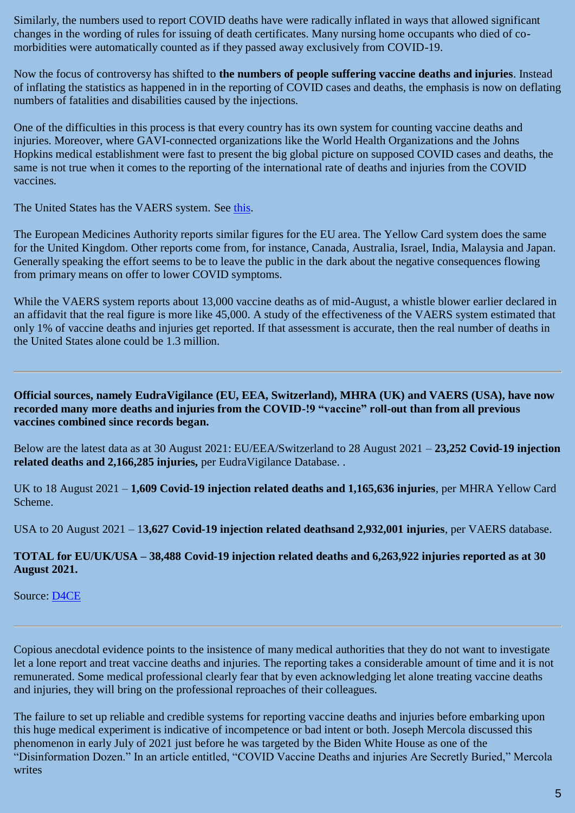Similarly, the numbers used to report COVID deaths have were radically inflated in ways that allowed significant changes in the wording of rules for issuing of death certificates. Many nursing home occupants who died of comorbidities were automatically counted as if they passed away exclusively from COVID-19.

Now the focus of controversy has shifted to **the numbers of people suffering vaccine deaths and injuries**. Instead of inflating the statistics as happened in in the reporting of COVID cases and deaths, the emphasis is now on deflating numbers of fatalities and disabilities caused by the injections.

One of the difficulties in this process is that every country has its own system for counting vaccine deaths and injuries. Moreover, where GAVI-connected organizations like the World Health Organizations and the Johns Hopkins medical establishment were fast to present the big global picture on supposed COVID cases and deaths, the same is not true when it comes to the reporting of the international rate of deaths and injuries from the COVID vaccines.

The United States has the VAERS system. See [this.](https://vaersanalysis.info/2021/08/20/vaers-summary-for-covid-19-vaccines-through-8-13-2021/)

The European Medicines Authority reports similar figures for the EU area. The Yellow Card system does the same for the United Kingdom. Other reports come from, for instance, Canada, Australia, Israel, India, Malaysia and Japan. Generally speaking the effort seems to be to leave the public in the dark about the negative consequences flowing from primary means on offer to lower COVID symptoms.

While the VAERS system reports about 13,000 vaccine deaths as of mid-August, a whistle blower earlier declared in an affidavit that the real figure is more like 45,000. A study of the effectiveness of the VAERS system estimated that only 1% of vaccine deaths and injuries get reported. If that assessment is accurate, then the real number of deaths in the United States alone could be 1.3 million.

**Official sources, namely EudraVigilance (EU, EEA, Switzerland), MHRA (UK) and VAERS (USA), have now recorded many more deaths and injuries from the COVID-!9 "vaccine" roll-out than from all previous vaccines combined since records began.**

Below are the latest data as at 30 August 2021: EU/EEA/Switzerland to 28 August 2021 – **23,252 Covid-19 injection related deaths and 2,166,285 injuries,** per EudraVigilance Database. .

UK to 18 August 2021 – **1,609 Covid-19 injection related deaths and 1,165,636 injuries**, per MHRA Yellow Card Scheme.

USA to 20 August 2021 – 1**3,627 Covid-19 injection related deathsand 2,932,001 injuries**, per VAERS database.

#### **TOTAL for EU/UK/USA – 38,488 Covid-19 injection related deaths and 6,263,922 injuries reported as at 30 August 2021.**

Source: [D4CE](https://www.globalresearch.ca/jaccuse-governments-worldwide-are-lying-to-you-the-people-to-the-populations-they-purportedly-serve/5750650)

Copious anecdotal evidence points to the insistence of many medical authorities that they do not want to investigate let a lone report and treat vaccine deaths and injuries. The reporting takes a considerable amount of time and it is not remunerated. Some medical professional clearly fear that by even acknowledging let alone treating vaccine deaths and injuries, they will bring on the professional reproaches of their colleagues.

The failure to set up reliable and credible systems for reporting vaccine deaths and injuries before embarking upon this huge medical experiment is indicative of incompetence or bad intent or both. Joseph Mercola discussed this phenomenon in early July of 2021 just before he was targeted by the Biden White House as one of the "Disinformation Dozen." In an article entitled, "COVID Vaccine Deaths and injuries Are Secretly Buried," Mercola writes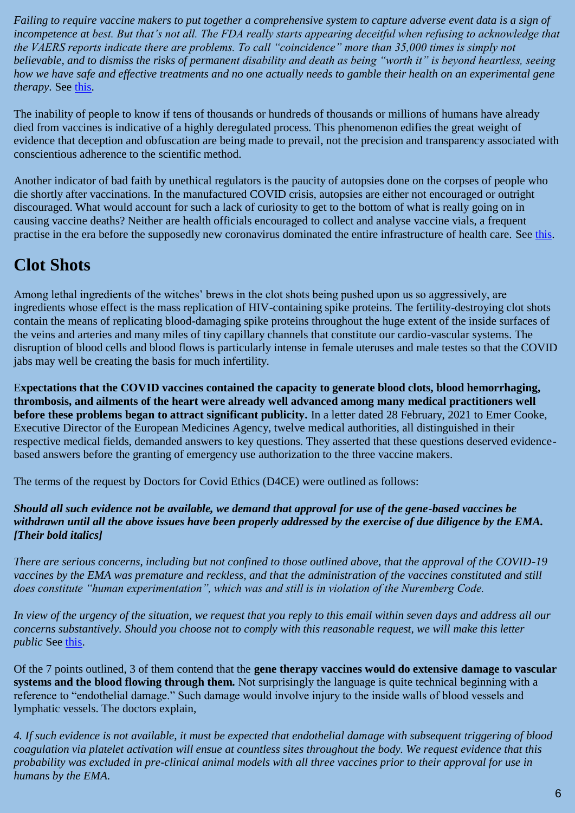*Failing to require vaccine makers to put together a comprehensive system to capture adverse event data is a sign of incompetence at best. But that's not all. The FDA really starts appearing deceitful when refusing to acknowledge that the VAERS reports indicate there are problems. To call "coincidence" more than 35,000 times is simply not believable, and to dismiss the risks of permanent disability and death as being "worth it" is beyond heartless, seeing how we have safe and effective treatments and no one actually needs to gamble their health on an experimental gene therapy.* See [this.](https://stateofthenation.co/?p=72093)

The inability of people to know if tens of thousands or hundreds of thousands or millions of humans have already died from vaccines is indicative of a highly deregulated process. This phenomenon edifies the great weight of evidence that deception and obfuscation are being made to prevail, not the precision and transparency associated with conscientious adherence to the scientific method.

Another indicator of bad faith by unethical regulators is the paucity of autopsies done on the corpses of people who die shortly after vaccinations. In the manufactured COVID crisis, autopsies are either not encouraged or outright discouraged. What would account for such a lack of curiosity to get to the bottom of what is really going on in causing vaccine deaths? Neither are health officials encouraged to collect and analyse vaccine vials, a frequent practise in the era before the supposedly new coronavirus dominated the entire infrastructure of health care. See [this.](https://www.wnd.com/2021/07/dying-post-vaccine-autopsies/)

# **Clot Shots**

Among lethal ingredients of the witches' brews in the clot shots being pushed upon us so aggressively, are ingredients whose effect is the mass replication of HIV-containing spike proteins. The fertility-destroying clot shots contain the means of replicating blood-damaging spike proteins throughout the huge extent of the inside surfaces of the veins and arteries and many miles of tiny capillary channels that constitute our cardio-vascular systems. The disruption of blood cells and blood flows is particularly intense in female uteruses and male testes so that the COVID jabs may well be creating the basis for much infertility.

E**xpectations that the COVID vaccines contained the capacity to generate blood clots, blood hemorrhaging, thrombosis, and ailments of the heart were already well advanced among many medical practitioners well before these problems began to attract significant publicity.** In a letter dated 28 February, 2021 to Emer Cooke, Executive Director of the European Medicines Agency, twelve medical authorities, all distinguished in their respective medical fields, demanded answers to key questions. They asserted that these questions deserved evidencebased answers before the granting of emergency use authorization to the three vaccine makers.

The terms of the request by Doctors for Covid Ethics (D4CE) were outlined as follows:

#### *Should all such evidence not be available, we demand that approval for use of the gene-based vaccines be withdrawn until all the above issues have been properly addressed by the exercise of due diligence by the EMA. [Their bold italics]*

*There are serious concerns, including but not confined to those outlined above, that the approval of the COVID-19 vaccines by the EMA was premature and reckless, and that the administration of the vaccines constituted and still does constitute "human experimentation", which was and still is in violation of the Nuremberg Code.*

*In view of the urgency of the situation, we request that you reply to this email within seven days and address all our concerns substantively. Should you choose not to comply with this reasonable request, we will make this letter public* See [this.](https://www.globalresearch.ca/urgent-open-letter-from-doctors-scientists-european-medicines-agency-regarding-covid-19-vaccine-safety-concerns/5739571)

Of the 7 points outlined, 3 of them contend that the **gene therapy vaccines would do extensive damage to vascular systems and the blood flowing through them.** Not surprisingly the language is quite technical beginning with a reference to "endothelial damage." Such damage would involve injury to the inside walls of blood vessels and lymphatic vessels. The doctors explain,

*4. If such evidence is not available, it must be expected that endothelial damage with subsequent triggering of blood coagulation via platelet activation will ensue at countless sites throughout the body. We request evidence that this probability was excluded in pre-clinical animal models with all three vaccines prior to their approval for use in humans by the EMA.*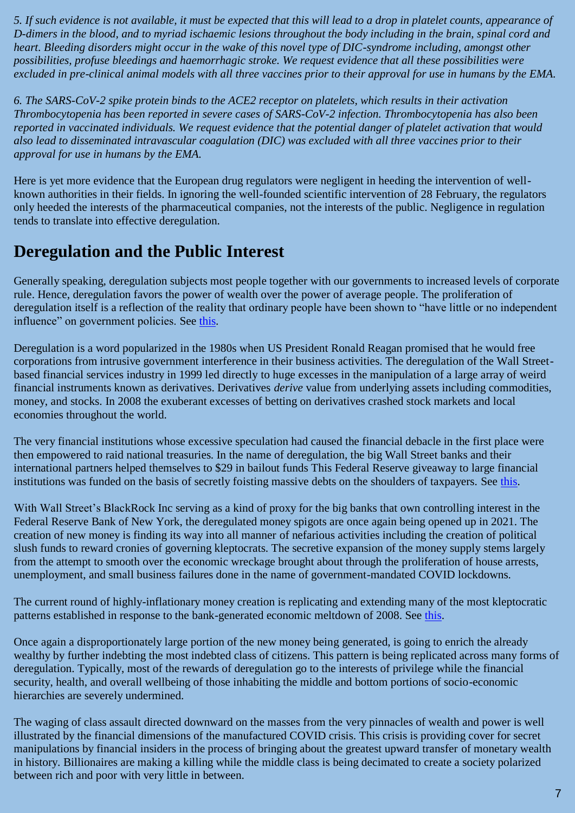*5. If such evidence is not available, it must be expected that this will lead to a drop in platelet counts, appearance of D-dimers in the blood, and to myriad ischaemic lesions throughout the body including in the brain, spinal cord and heart. Bleeding disorders might occur in the wake of this novel type of DIC-syndrome including, amongst other possibilities, profuse bleedings and haemorrhagic stroke. We request evidence that all these possibilities were excluded in pre-clinical animal models with all three vaccines prior to their approval for use in humans by the EMA.*

*6. The SARS-CoV-2 spike protein binds to the ACE2 receptor on platelets, which results in their activation Thrombocytopenia has been reported in severe cases of SARS-CoV-2 infection. Thrombocytopenia has also been reported in vaccinated individuals. We request evidence that the potential danger of platelet activation that would also lead to disseminated intravascular coagulation (DIC) was excluded with all three vaccines prior to their approval for use in humans by the EMA.*

Here is yet more evidence that the European drug regulators were negligent in heeding the intervention of wellknown authorities in their fields. In ignoring the well-founded scientific intervention of 28 February, the regulators only heeded the interests of the pharmaceutical companies, not the interests of the public. Negligence in regulation tends to translate into effective deregulation.

## **Deregulation and the Public Interest**

Generally speaking, deregulation subjects most people together with our governments to increased levels of corporate rule. Hence, deregulation favors the power of wealth over the power of average people. The proliferation of deregulation itself is a reflection of the reality that ordinary people have been shown to "have little or no independent influence" on government policies. See [this.](https://www.mintpressnews.com/average-u-s-citizens-little-influence-government-policy/189520/)

Deregulation is a word popularized in the 1980s when US President Ronald Reagan promised that he would free corporations from intrusive government interference in their business activities. The deregulation of the Wall Streetbased financial services industry in 1999 led directly to huge excesses in the manipulation of a large array of weird financial instruments known as derivatives. Derivatives *derive* value from underlying assets including commodities, money, and stocks. In 2008 the exuberant excesses of betting on derivatives crashed stock markets and local economies throughout the world.

The very financial institutions whose excessive speculation had caused the financial debacle in the first place were then empowered to raid national treasuries. In the name of deregulation, the big Wall Street banks and their international partners helped themselves to \$29 in bailout funds This Federal Reserve giveaway to large financial institutions was funded on the basis of secretly foisting massive debts on the shoulders of taxpayers. See [this.](https://wallstreetonparade.com/2021/08/biden-is-bringing-financial-crisis-guys-from-the-new-york-feds-markets-group-to-his-administration-should-we-worry/)

With Wall Street's BlackRock Inc serving as a kind of proxy for the big banks that own controlling interest in the Federal Reserve Bank of New York, the deregulated money spigots are once again being opened up in 2021. The creation of new money is finding its way into all manner of nefarious activities including the creation of political slush funds to reward cronies of governing kleptocrats. The secretive expansion of the money supply stems largely from the attempt to smooth over the economic wreckage brought about through the proliferation of house arrests, unemployment, and small business failures done in the name of government-mandated COVID lockdowns.

The current round of highly-inflationary money creation is replicating and extending many of the most kleptocratic patterns established in response to the bank-generated economic meltdown of 2008. See [this.](https://www.unz.com/article/lockdowns-coronavirus-and-banks-following-the-money-2/)

Once again a disproportionately large portion of the new money being generated, is going to enrich the already wealthy by further indebting the most indebted class of citizens. This pattern is being replicated across many forms of deregulation. Typically, most of the rewards of deregulation go to the interests of privilege while the financial security, health, and overall wellbeing of those inhabiting the middle and bottom portions of socio-economic hierarchies are severely undermined.

The waging of class assault directed downward on the masses from the very pinnacles of wealth and power is well illustrated by the financial dimensions of the manufactured COVID crisis. This crisis is providing cover for secret manipulations by financial insiders in the process of bringing about the greatest upward transfer of monetary wealth in history. Billionaires are making a killing while the middle class is being decimated to create a society polarized between rich and poor with very little in between.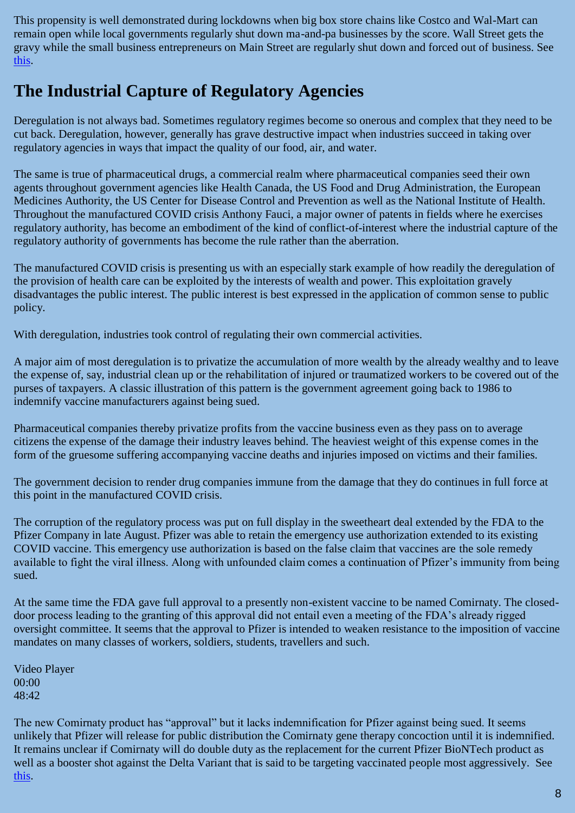This propensity is well demonstrated during lockdowns when big box store chains like Costco and Wal-Mart can remain open while local governments regularly shut down ma-and-pa businesses by the score. Wall Street gets the gravy while the small business entrepreneurs on Main Street are regularly shut down and forced out of business. See [this.](https://news.bitcoin.com/wall-street-giants-want-to-be-your-landlord-data-shows-megabanks-are-buying-up-all-the-us-real-estate/)

## **The Industrial Capture of Regulatory Agencies**

Deregulation is not always bad. Sometimes regulatory regimes become so onerous and complex that they need to be cut back. Deregulation, however, generally has grave destructive impact when industries succeed in taking over regulatory agencies in ways that impact the quality of our food, air, and water.

The same is true of pharmaceutical drugs, a commercial realm where pharmaceutical companies seed their own agents throughout government agencies like Health Canada, the US Food and Drug Administration, the European Medicines Authority, the US Center for Disease Control and Prevention as well as the National Institute of Health. Throughout the manufactured COVID crisis Anthony Fauci, a major owner of patents in fields where he exercises regulatory authority, has become an embodiment of the kind of conflict-of-interest where the industrial capture of the regulatory authority of governments has become the rule rather than the aberration.

The manufactured COVID crisis is presenting us with an especially stark example of how readily the deregulation of the provision of health care can be exploited by the interests of wealth and power. This exploitation gravely disadvantages the public interest. The public interest is best expressed in the application of common sense to public policy.

With deregulation, industries took control of regulating their own commercial activities.

A major aim of most deregulation is to privatize the accumulation of more wealth by the already wealthy and to leave the expense of, say, industrial clean up or the rehabilitation of injured or traumatized workers to be covered out of the purses of taxpayers. A classic illustration of this pattern is the government agreement going back to 1986 to indemnify vaccine manufacturers against being sued.

Pharmaceutical companies thereby privatize profits from the vaccine business even as they pass on to average citizens the expense of the damage their industry leaves behind. The heaviest weight of this expense comes in the form of the gruesome suffering accompanying vaccine deaths and injuries imposed on victims and their families.

The government decision to render drug companies immune from the damage that they do continues in full force at this point in the manufactured COVID crisis.

The corruption of the regulatory process was put on full display in the sweetheart deal extended by the FDA to the Pfizer Company in late August. Pfizer was able to retain the emergency use authorization extended to its existing COVID vaccine. This emergency use authorization is based on the false claim that vaccines are the sole remedy available to fight the viral illness. Along with unfounded claim comes a continuation of Pfizer's immunity from being sued.

At the same time the FDA gave full approval to a presently non-existent vaccine to be named Comirnaty. The closeddoor process leading to the granting of this approval did not entail even a meeting of the FDA's already rigged oversight committee. It seems that the approval to Pfizer is intended to weaken resistance to the imposition of vaccine mandates on many classes of workers, soldiers, students, travellers and such.

Video Player 00:00 48:42

The new Comirnaty product has "approval" but it lacks indemnification for Pfizer against being sued. It seems unlikely that Pfizer will release for public distribution the Comirnaty gene therapy concoction until it is indemnified. It remains unclear if Comirnaty will do double duty as the replacement for the current Pfizer BioNTech product as well as a booster shot against the Delta Variant that is said to be targeting vaccinated people most aggressively. See [this.](https://www.fda.gov/emergency-preparedness-and-response/coronavirus-disease-2019-covid-19/comirnaty-and-pfizer-biontech-covid-19-vaccine)